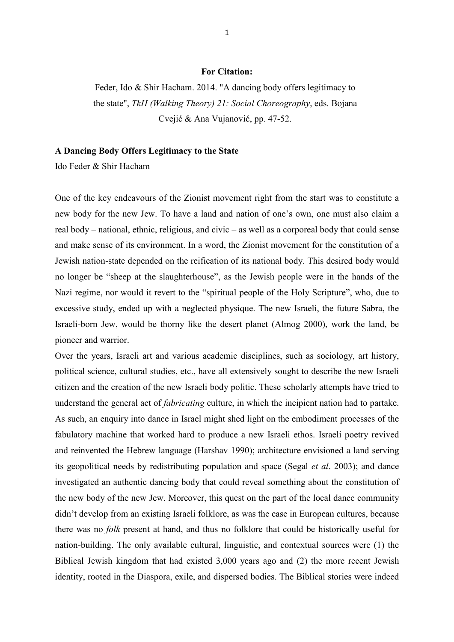## **For Citation:**

Feder, Ido & Shir Hacham. 2014. "A dancing body offers legitimacy to the state", *TkH (Walking Theory) 21: Social Choreography*, eds. Bojana Cvejić & Ana Vujanović, pp. 47-52.

## **A Dancing Body Offers Legitimacy to the State**

Ido Feder & Shir Hacham

One of the key endeavours of the Zionist movement right from the start was to constitute a new body for the new Jew. To have a land and nation of one"s own, one must also claim a real body – national, ethnic, religious, and civic – as well as a corporeal body that could sense and make sense of its environment. In a word, the Zionist movement for the constitution of a Jewish nation-state depended on the reification of its national body. This desired body would no longer be "sheep at the slaughterhouse", as the Jewish people were in the hands of the Nazi regime, nor would it revert to the "spiritual people of the Holy Scripture", who, due to excessive study, ended up with a neglected physique. The new Israeli, the future Sabra, the Israeli-born Jew, would be thorny like the desert planet (Almog 2000), work the land, be pioneer and warrior.

Over the years, Israeli art and various academic disciplines, such as sociology, art history, political science, cultural studies, etc., have all extensively sought to describe the new Israeli citizen and the creation of the new Israeli body politic. These scholarly attempts have tried to understand the general act of *fabricating* culture, in which the incipient nation had to partake. As such, an enquiry into dance in Israel might shed light on the embodiment processes of the fabulatory machine that worked hard to produce a new Israeli ethos. Israeli poetry revived and reinvented the Hebrew language (Harshav 1990); architecture envisioned a land serving its geopolitical needs by redistributing population and space (Segal *et al*. 2003); and dance investigated an authentic dancing body that could reveal something about the constitution of the new body of the new Jew. Moreover, this quest on the part of the local dance community didn"t develop from an existing Israeli folklore, as was the case in European cultures, because there was no *folk* present at hand, and thus no folklore that could be historically useful for nation-building. The only available cultural, linguistic, and contextual sources were (1) the Biblical Jewish kingdom that had existed 3,000 years ago and (2) the more recent Jewish identity, rooted in the Diaspora, exile, and dispersed bodies. The Biblical stories were indeed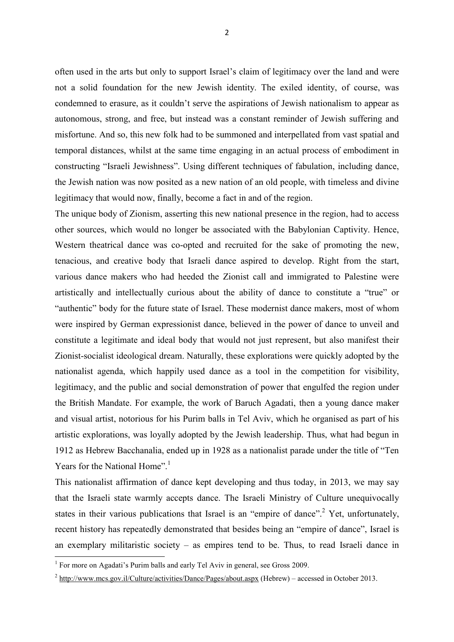often used in the arts but only to support Israel"s claim of legitimacy over the land and were not a solid foundation for the new Jewish identity. The exiled identity, of course, was condemned to erasure, as it couldn"t serve the aspirations of Jewish nationalism to appear as autonomous, strong, and free, but instead was a constant reminder of Jewish suffering and misfortune. And so, this new folk had to be summoned and interpellated from vast spatial and temporal distances, whilst at the same time engaging in an actual process of embodiment in constructing "Israeli Jewishness". Using different techniques of fabulation, including dance, the Jewish nation was now posited as a new nation of an old people, with timeless and divine legitimacy that would now, finally, become a fact in and of the region.

The unique body of Zionism, asserting this new national presence in the region, had to access other sources, which would no longer be associated with the Babylonian Captivity. Hence, Western theatrical dance was co-opted and recruited for the sake of promoting the new, tenacious, and creative body that Israeli dance aspired to develop. Right from the start, various dance makers who had heeded the Zionist call and immigrated to Palestine were artistically and intellectually curious about the ability of dance to constitute a "true" or "authentic" body for the future state of Israel. These modernist dance makers, most of whom were inspired by German expressionist dance, believed in the power of dance to unveil and constitute a legitimate and ideal body that would not just represent, but also manifest their Zionist-socialist ideological dream. Naturally, these explorations were quickly adopted by the nationalist agenda, which happily used dance as a tool in the competition for visibility, legitimacy, and the public and social demonstration of power that engulfed the region under the British Mandate. For example, the work of Baruch Agadati, then a young dance maker and visual artist, notorious for his Purim balls in Tel Aviv, which he organised as part of his artistic explorations, was loyally adopted by the Jewish leadership. Thus, what had begun in 1912 as Hebrew Bacchanalia, ended up in 1928 as a nationalist parade under the title of "Ten Years for the National Home".<sup>1</sup>

This nationalist affirmation of dance kept developing and thus today, in 2013, we may say that the Israeli state warmly accepts dance. The Israeli Ministry of Culture unequivocally states in their various publications that Israel is an "empire of dance".<sup>2</sup> Yet, unfortunately, recent history has repeatedly demonstrated that besides being an "empire of dance", Israel is an exemplary militaristic society – as empires tend to be. Thus, to read Israeli dance in

 1 For more on Agadati"s Purim balls and early Tel Aviv in general, see Gross 2009.

 $2 \frac{\text{http://www.mcs.gov.i/Culture/activities/Daoe/Pages/about.aspx}}{\text{http://www.mcs.gov.i/Culture/activities/Daoe/Pages/about.aspx}}$  (Hebrew) – accessed in October 2013.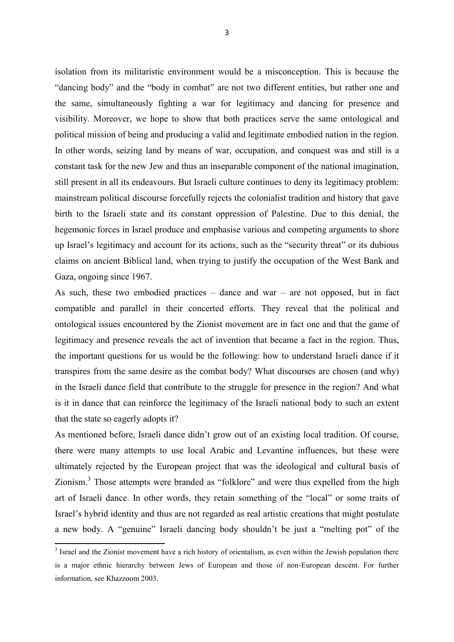isolation from its militaristic environment would be a misconception. This is because the "dancing body" and the "body in combat" are not two different entities, but rather one and the same, simultaneously fighting a war for legitimacy and dancing for presence and visibility. Moreover, we hope to show that both practices serve the same ontological and political mission of being and producing a valid and legitimate embodied nation in the region. In other words, seizing land by means of war, occupation, and conquest was and still is a constant task for the new Jew and thus an inseparable component of the national imagination, still present in all its endeavours. But Israeli culture continues to deny its legitimacy problem: mainstream political discourse forcefully rejects the colonialist tradition and history that gave birth to the Israeli state and its constant oppression of Palestine. Due to this denial, the hegemonic forces in Israel produce and emphasise various and competing arguments to shore up Israel"s legitimacy and account for its actions, such as the "security threat" or its dubious claims on ancient Biblical land, when trying to justify the occupation of the West Bank and Gaza, ongoing since 1967.

As such, these two embodied practices – dance and war – are not opposed, but in fact compatible and parallel in their concerted efforts. They reveal that the political and ontological issues encountered by the Zionist movement are in fact one and that the game of legitimacy and presence reveals the act of invention that became a fact in the region. Thus, the important questions for us would be the following: how to understand Israeli dance if it transpires from the same desire as the combat body? What discourses are chosen (and why) in the Israeli dance field that contribute to the struggle for presence in the region? And what is it in dance that can reinforce the legitimacy of the Israeli national body to such an extent that the state so eagerly adopts it?

As mentioned before, Israeli dance didn"t grow out of an existing local tradition. Of course, there were many attempts to use local Arabic and Levantine influences, but these were ultimately rejected by the European project that was the ideological and cultural basis of Zionism.<sup>3</sup> Those attempts were branded as "folklore" and were thus expelled from the high art of Israeli dance. In other words, they retain something of the "local" or some traits of Israel"s hybrid identity and thus are not regarded as real artistic creations that might postulate a new body. A "genuine" Israeli dancing body shouldn"t be just a "melting pot" of the

<sup>&</sup>lt;sup>3</sup> Israel and the Zionist movement have a rich history of orientalism, as even within the Jewish population there is a major ethnic hierarchy between Jews of European and those of non-European descent. For further information, see Khazzoom 2003.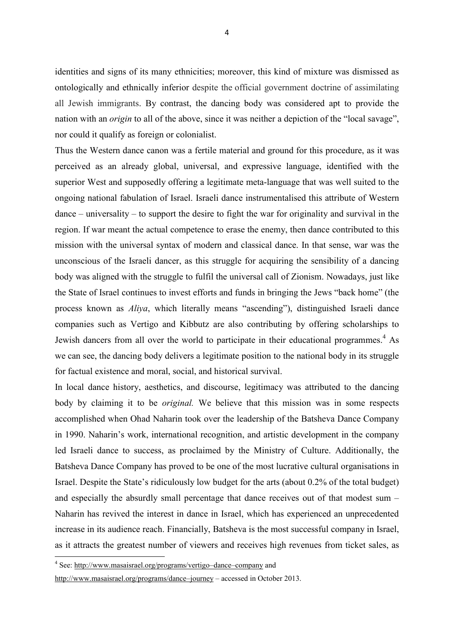identities and signs of its many ethnicities; moreover, this kind of mixture was dismissed as ontologically and ethnically inferior despite the official government doctrine of assimilating all Jewish immigrants. By contrast, the dancing body was considered apt to provide the nation with an *origin* to all of the above, since it was neither a depiction of the "local savage", nor could it qualify as foreign or colonialist.

Thus the Western dance canon was a fertile material and ground for this procedure, as it was perceived as an already global, universal, and expressive language, identified with the superior West and supposedly offering a legitimate meta-language that was well suited to the ongoing national fabulation of Israel. Israeli dance instrumentalised this attribute of Western dance – universality – to support the desire to fight the war for originality and survival in the region. If war meant the actual competence to erase the enemy, then dance contributed to this mission with the universal syntax of modern and classical dance. In that sense, war was the unconscious of the Israeli dancer, as this struggle for acquiring the sensibility of a dancing body was aligned with the struggle to fulfil the universal call of Zionism. Nowadays, just like the State of Israel continues to invest efforts and funds in bringing the Jews "back home" (the process known as *Aliya*, which literally means "ascending"), distinguished Israeli dance companies such as Vertigo and Kibbutz are also contributing by offering scholarships to Jewish dancers from all over the world to participate in their educational programmes.<sup>4</sup> As we can see, the dancing body delivers a legitimate position to the national body in its struggle for factual existence and moral, social, and historical survival.

In local dance history, aesthetics, and discourse, legitimacy was attributed to the dancing body by claiming it to be *original.* We believe that this mission was in some respects accomplished when Ohad Naharin took over the leadership of the Batsheva Dance Company in 1990. Naharin"s work, international recognition, and artistic development in the company led Israeli dance to success, as proclaimed by the Ministry of Culture. Additionally, the Batsheva Dance Company has proved to be one of the most lucrative cultural organisations in Israel. Despite the State"s ridiculously low budget for the arts (about 0.2% of the total budget) and especially the absurdly small percentage that dance receives out of that modest sum – Naharin has revived the interest in dance in Israel, which has experienced an unprecedented increase in its audience reach. Financially, Batsheva is the most successful company in Israel, as it attracts the greatest number of viewers and receives high revenues from ticket sales, as

 4 See: [http://www.masaisrael.org/programs/vertigo](http://www.masaisrael.org/programs/vertigo-dance-company)–dance–company and

[http://www.masaisrael.org/programs/dance](http://www.masaisrael.org/programs/dance-journey)–journey – accessed in October 2013.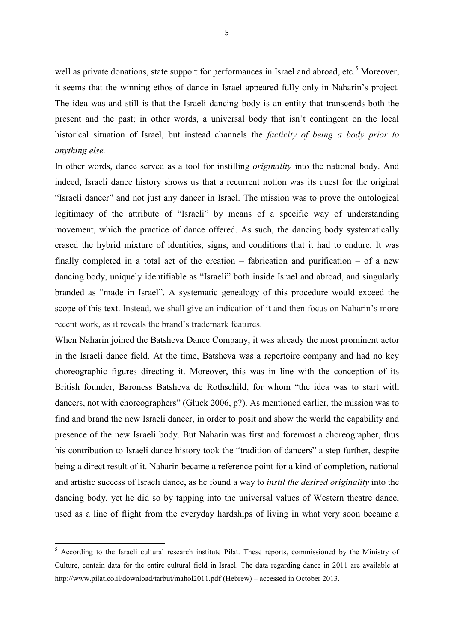well as private donations, state support for performances in Israel and abroad, etc.<sup>5</sup> Moreover, it seems that the winning ethos of dance in Israel appeared fully only in Naharin"s project. The idea was and still is that the Israeli dancing body is an entity that transcends both the present and the past; in other words, a universal body that isn"t contingent on the local historical situation of Israel, but instead channels the *facticity of being a body prior to anything else.*

In other words, dance served as a tool for instilling *originality* into the national body. And indeed, Israeli dance history shows us that a recurrent notion was its quest for the original "Israeli dancer" and not just any dancer in Israel. The mission was to prove the ontological legitimacy of the attribute of "Israeli" by means of a specific way of understanding movement, which the practice of dance offered. As such, the dancing body systematically erased the hybrid mixture of identities, signs, and conditions that it had to endure. It was finally completed in a total act of the creation – fabrication and purification – of a new dancing body, uniquely identifiable as "Israeli" both inside Israel and abroad, and singularly branded as "made in Israel". A systematic genealogy of this procedure would exceed the scope of this text. Instead, we shall give an indication of it and then focus on Naharin"s more recent work, as it reveals the brand"s trademark features.

When Naharin joined the Batsheva Dance Company, it was already the most prominent actor in the Israeli dance field. At the time, Batsheva was a repertoire company and had no key choreographic figures directing it. Moreover, this was in line with the conception of its British founder, Baroness Batsheva de Rothschild, for whom "the idea was to start with dancers, not with choreographers" (Gluck 2006, p?). As mentioned earlier, the mission was to find and brand the new Israeli dancer, in order to posit and show the world the capability and presence of the new Israeli body. But Naharin was first and foremost a choreographer, thus his contribution to Israeli dance history took the "tradition of dancers" a step further, despite being a direct result of it. Naharin became a reference point for a kind of completion, national and artistic success of Israeli dance, as he found a way to *instil the desired originality* into the dancing body, yet he did so by tapping into the universal values of Western theatre dance, used as a line of flight from the everyday hardships of living in what very soon became a

 $\overline{\phantom{a}}$ 

<sup>&</sup>lt;sup>5</sup> According to the Israeli cultural research institute Pilat. These reports, commissioned by the Ministry of Culture, contain data for the entire cultural field in Israel. The data regarding dance in 2011 are available at <http://www.pilat.co.il/download/tarbut/mahol2011.pdf> (Hebrew) – accessed in October 2013.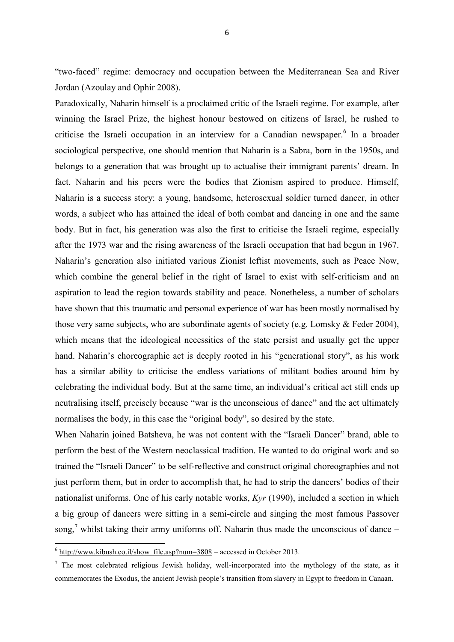"two-faced" regime: democracy and occupation between the Mediterranean Sea and River Jordan (Azoulay and Ophir 2008).

Paradoxically, Naharin himself is a proclaimed critic of the Israeli regime. For example, after winning the Israel Prize, the highest honour bestowed on citizens of Israel, he rushed to criticise the Israeli occupation in an interview for a Canadian newspaper.<sup>6</sup> In a broader sociological perspective, one should mention that Naharin is a Sabra, born in the 1950s, and belongs to a generation that was brought up to actualise their immigrant parents' dream. In fact, Naharin and his peers were the bodies that Zionism aspired to produce. Himself, Naharin is a success story: a young, handsome, heterosexual soldier turned dancer, in other words, a subject who has attained the ideal of both combat and dancing in one and the same body. But in fact, his generation was also the first to criticise the Israeli regime, especially after the 1973 war and the rising awareness of the Israeli occupation that had begun in 1967. Naharin"s generation also initiated various Zionist leftist movements, such as Peace Now, which combine the general belief in the right of Israel to exist with self-criticism and an aspiration to lead the region towards stability and peace. Nonetheless, a number of scholars have shown that this traumatic and personal experience of war has been mostly normalised by those very same subjects, who are subordinate agents of society (e.g. Lomsky & Feder 2004), which means that the ideological necessities of the state persist and usually get the upper hand. Naharin"s choreographic act is deeply rooted in his "generational story", as his work has a similar ability to criticise the endless variations of militant bodies around him by celebrating the individual body. But at the same time, an individual"s critical act still ends up neutralising itself, precisely because "war is the unconscious of dance" and the act ultimately normalises the body, in this case the "original body", so desired by the state.

When Naharin joined Batsheva, he was not content with the "Israeli Dancer" brand, able to perform the best of the Western neoclassical tradition. He wanted to do original work and so trained the "Israeli Dancer" to be self-reflective and construct original choreographies and not just perform them, but in order to accomplish that, he had to strip the dancers' bodies of their nationalist uniforms. One of his early notable works, *Kyr* (1990), included a section in which a big group of dancers were sitting in a semi-circle and singing the most famous Passover song,<sup>7</sup> whilst taking their army uniforms off. Naharin thus made the unconscious of dance –

<sup>-&</sup>lt;br><sup>6</sup> [http://www.kibush.co.il/show\\_file.asp?num=3808](http://www.kibush.co.il/show_file.asp?num=3808) – accessed in October 2013.

 $<sup>7</sup>$  The most celebrated religious Jewish holiday, well-incorporated into the mythology of the state, as it</sup> commemorates the Exodus, the ancient Jewish people"s transition from slavery in Egypt to freedom in Canaan.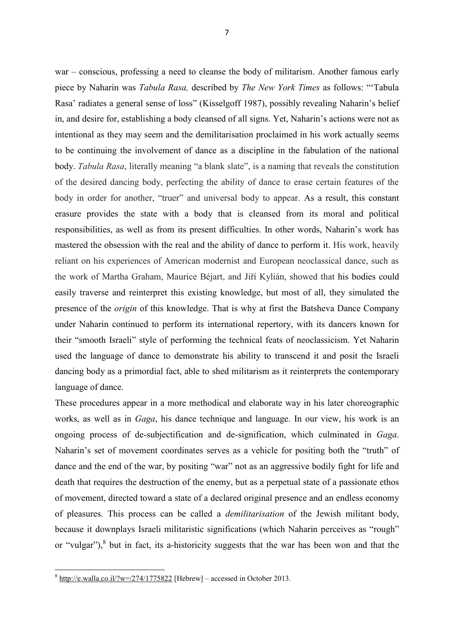war – conscious, professing a need to cleanse the body of militarism. Another famous early piece by Naharin was *Tabula Rasa,* described by *The New York Times* as follows: ""Tabula Rasa" radiates a general sense of loss" (Kisselgoff 1987), possibly revealing Naharin"s belief in, and desire for, establishing a body cleansed of all signs. Yet, Naharin's actions were not as intentional as they may seem and the demilitarisation proclaimed in his work actually seems to be continuing the involvement of dance as a discipline in the fabulation of the national body. *Tabula Rasa*, literally meaning "a blank slate", is a naming that reveals the constitution of the desired dancing body, perfecting the ability of dance to erase certain features of the body in order for another, "truer" and universal body to appear. As a result, this constant erasure provides the state with a body that is cleansed from its moral and political responsibilities, as well as from its present difficulties. In other words, Naharin"s work has mastered the obsession with the real and the ability of dance to perform it. His work, heavily reliant on his experiences of American modernist and European neoclassical dance, such as the work of Martha Graham, Maurice Béjart, and Jiří Kylián, showed that his bodies could easily traverse and reinterpret this existing knowledge, but most of all, they simulated the presence of the *origin* of this knowledge. That is why at first the Batsheva Dance Company under Naharin continued to perform its international repertory, with its dancers known for their "smooth Israeli" style of performing the technical feats of neoclassicism. Yet Naharin used the language of dance to demonstrate his ability to transcend it and posit the Israeli dancing body as a primordial fact, able to shed militarism as it reinterprets the contemporary language of dance.

These procedures appear in a more methodical and elaborate way in his later choreographic works, as well as in *Gaga*, his dance technique and language. In our view, his work is an ongoing process of de-subjectification and de-signification, which culminated in *Gaga*. Naharin"s set of movement coordinates serves as a vehicle for positing both the "truth" of dance and the end of the war, by positing "war" not as an aggressive bodily fight for life and death that requires the destruction of the enemy, but as a perpetual state of a passionate ethos of movement, directed toward a state of a declared original presence and an endless economy of pleasures. This process can be called a *demilitarisation* of the Jewish militant body, because it downplays Israeli militaristic significations (which Naharin perceives as "rough" or "vulgar"), $<sup>8</sup>$  but in fact, its a-historicity suggests that the war has been won and that the</sup>

<sup>-&</sup>lt;br><sup>8</sup> <http://e.walla.co.il/?w=/274/1775822> [Hebrew] – accessed in October 2013.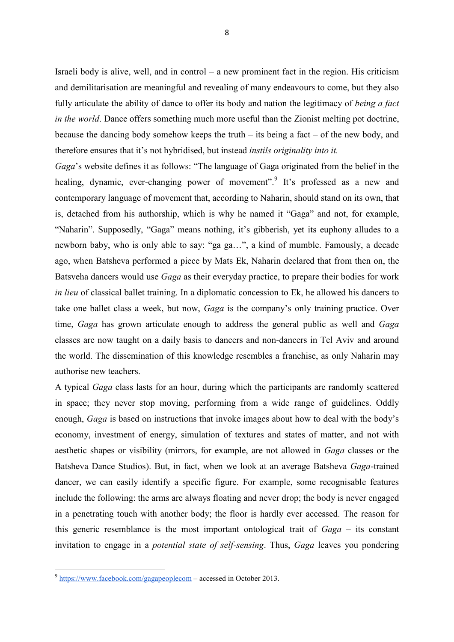Israeli body is alive, well, and in control – a new prominent fact in the region. His criticism and demilitarisation are meaningful and revealing of many endeavours to come, but they also fully articulate the ability of dance to offer its body and nation the legitimacy of *being a fact in the world*. Dance offers something much more useful than the Zionist melting pot doctrine, because the dancing body somehow keeps the truth – its being a fact – of the new body, and therefore ensures that it"s not hybridised, but instead *instils originality into it.* 

*Gaga*"s website defines it as follows: "The language of Gaga originated from the belief in the healing, dynamic, ever-changing power of movement".<sup>9</sup> It's professed as a new and contemporary language of movement that, according to Naharin, should stand on its own, that is, detached from his authorship, which is why he named it "Gaga" and not, for example, "Naharin". Supposedly, "Gaga" means nothing, it's gibberish, yet its euphony alludes to a newborn baby, who is only able to say: "ga ga…", a kind of mumble. Famously, a decade ago, when Batsheva performed a piece by Mats Ek, Naharin declared that from then on, the Batsveha dancers would use *Gaga* as their everyday practice, to prepare their bodies for work *in lieu* of classical ballet training. In a diplomatic concession to Ek, he allowed his dancers to take one ballet class a week, but now, *Gaga* is the company's only training practice. Over time, *Gaga* has grown articulate enough to address the general public as well and *Gaga* classes are now taught on a daily basis to dancers and non-dancers in Tel Aviv and around the world. The dissemination of this knowledge resembles a franchise, as only Naharin may authorise new teachers.

A typical *Gaga* class lasts for an hour, during which the participants are randomly scattered in space; they never stop moving, performing from a wide range of guidelines. Oddly enough, *Gaga* is based on instructions that invoke images about how to deal with the body"s economy, investment of energy, simulation of textures and states of matter, and not with aesthetic shapes or visibility (mirrors, for example, are not allowed in *Gaga* classes or the Batsheva Dance Studios). But, in fact, when we look at an average Batsheva *Gaga*-trained dancer, we can easily identify a specific figure. For example, some recognisable features include the following: the arms are always floating and never drop; the body is never engaged in a penetrating touch with another body; the floor is hardly ever accessed. The reason for this generic resemblance is the most important ontological trait of *Gaga* – its constant invitation to engage in a *potential state of self-sensing*. Thus, *Gaga* leaves you pondering

<sup>&</sup>lt;sup>9</sup> <https://www.facebook.com/gagapeoplecom> – accessed in October 2013.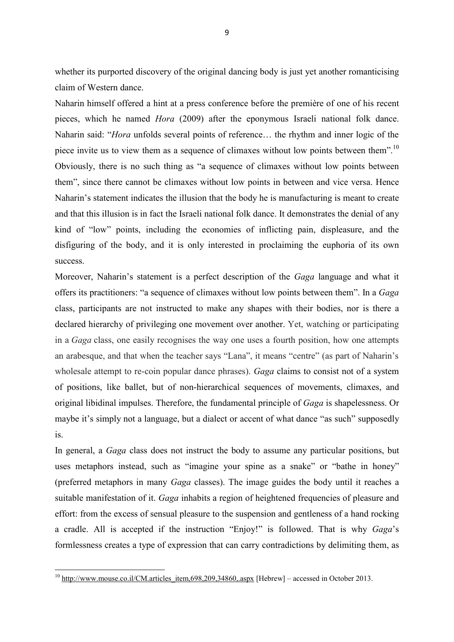whether its purported discovery of the original dancing body is just yet another romanticising claim of Western dance.

Naharin himself offered a hint at a press conference before the première of one of his recent pieces, which he named *Hora* (2009) after the eponymous Israeli national folk dance. Naharin said: "*Hora* unfolds several points of reference… the rhythm and inner logic of the piece invite us to view them as a sequence of climaxes without low points between them".<sup>10</sup> Obviously, there is no such thing as "a sequence of climaxes without low points between them", since there cannot be climaxes without low points in between and vice versa. Hence Naharin"s statement indicates the illusion that the body he is manufacturing is meant to create and that this illusion is in fact the Israeli national folk dance. It demonstrates the denial of any kind of "low" points, including the economies of inflicting pain, displeasure, and the disfiguring of the body, and it is only interested in proclaiming the euphoria of its own success.

Moreover, Naharin"s statement is a perfect description of the *Gaga* language and what it offers its practitioners: "a sequence of climaxes without low points between them". In a *Gaga* class, participants are not instructed to make any shapes with their bodies, nor is there a declared hierarchy of privileging one movement over another. Yet, watching or participating in a *Gaga* class, one easily recognises the way one uses a fourth position, how one attempts an arabesque, and that when the teacher says "Lana", it means "centre" (as part of Naharin"s wholesale attempt to re-coin popular dance phrases). *Gaga* claims to consist not of a system of positions, like ballet, but of non-hierarchical sequences of movements, climaxes, and original libidinal impulses. Therefore, the fundamental principle of *Gaga* is shapelessness. Or maybe it's simply not a language, but a dialect or accent of what dance "as such" supposedly is.

In general, a *Gaga* class does not instruct the body to assume any particular positions, but uses metaphors instead, such as "imagine your spine as a snake" or "bathe in honey" (preferred metaphors in many *Gaga* classes). The image guides the body until it reaches a suitable manifestation of it. *Gaga* inhabits a region of heightened frequencies of pleasure and effort: from the excess of sensual pleasure to the suspension and gentleness of a hand rocking a cradle. All is accepted if the instruction "Enjoy!" is followed. That is why *Gaga*"s formlessness creates a type of expression that can carry contradictions by delimiting them, as

**.** 

 $10$  [http://www.mouse.co.il/CM.articles\\_item,698,209,34860,.aspx](http://www.mouse.co.il/CM.articles_item,698,209,34860,.aspx) [Hebrew] – accessed in October 2013.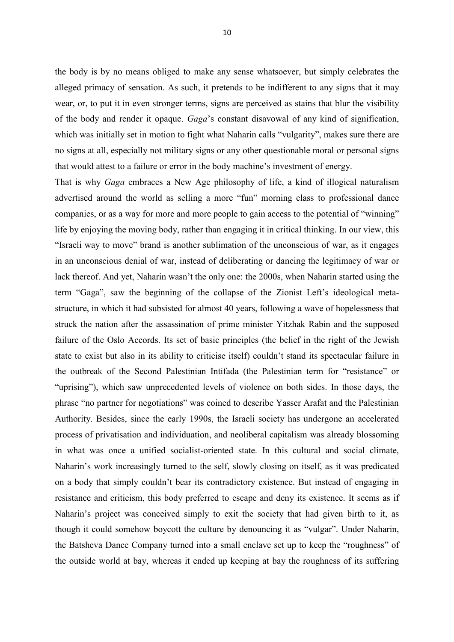the body is by no means obliged to make any sense whatsoever, but simply celebrates the alleged primacy of sensation. As such, it pretends to be indifferent to any signs that it may wear, or, to put it in even stronger terms, signs are perceived as stains that blur the visibility of the body and render it opaque. *Gaga*"s constant disavowal of any kind of signification, which was initially set in motion to fight what Naharin calls "vulgarity", makes sure there are no signs at all, especially not military signs or any other questionable moral or personal signs that would attest to a failure or error in the body machine"s investment of energy.

That is why *Gaga* embraces a New Age philosophy of life, a kind of illogical naturalism advertised around the world as selling a more "fun" morning class to professional dance companies, or as a way for more and more people to gain access to the potential of "winning" life by enjoying the moving body, rather than engaging it in critical thinking. In our view, this "Israeli way to move" brand is another sublimation of the unconscious of war, as it engages in an unconscious denial of war, instead of deliberating or dancing the legitimacy of war or lack thereof. And yet, Naharin wasn"t the only one: the 2000s, when Naharin started using the term "Gaga", saw the beginning of the collapse of the Zionist Left"s ideological metastructure, in which it had subsisted for almost 40 years, following a wave of hopelessness that struck the nation after the assassination of prime minister Yitzhak Rabin and the supposed failure of the Oslo Accords. Its set of basic principles (the belief in the right of the Jewish state to exist but also in its ability to criticise itself) couldn"t stand its spectacular failure in the outbreak of the Second Palestinian Intifada (the Palestinian term for "resistance" or "uprising"), which saw unprecedented levels of violence on both sides. In those days, the phrase "no partner for negotiations" was coined to describe Yasser Arafat and the Palestinian Authority. Besides, since the early 1990s, the Israeli society has undergone an accelerated process of privatisation and individuation, and neoliberal capitalism was already blossoming in what was once a unified socialist-oriented state. In this cultural and social climate, Naharin"s work increasingly turned to the self, slowly closing on itself, as it was predicated on a body that simply couldn"t bear its contradictory existence. But instead of engaging in resistance and criticism, this body preferred to escape and deny its existence. It seems as if Naharin"s project was conceived simply to exit the society that had given birth to it, as though it could somehow boycott the culture by denouncing it as "vulgar". Under Naharin, the Batsheva Dance Company turned into a small enclave set up to keep the "roughness" of the outside world at bay, whereas it ended up keeping at bay the roughness of its suffering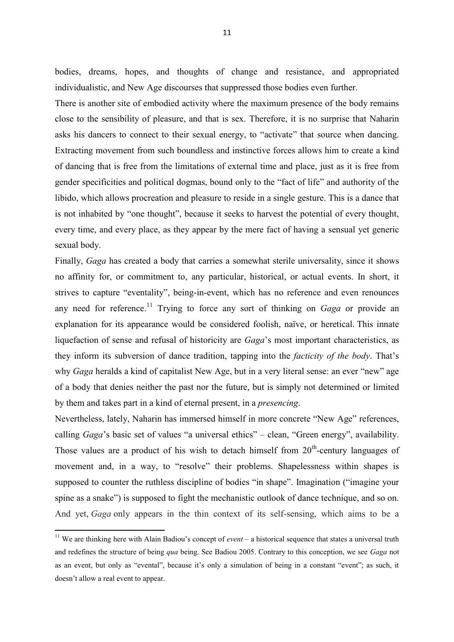bodies, dreams, hopes, and thoughts of change and resistance, and appropriated individualistic, and New Age discourses that suppressed those bodies even further.

There is another site of embodied activity where the maximum presence of the body remains close to the sensibility of pleasure, and that is sex. Therefore, it is no surprise that Naharin asks his dancers to connect to their sexual energy, to "activate" that source when dancing. Extracting movement from such boundless and instinctive forces allows him to create a kind of dancing that is free from the limitations of external time and place, just as it is free from gender specificities and political dogmas, bound only to the "fact of life" and authority of the libido, which allows procreation and pleasure to reside in a single gesture. This is a dance that is not inhabited by "one thought", because it seeks to harvest the potential of every thought, every time, and every place, as they appear by the mere fact of having a sensual yet generic sexual body.

Finally, *Gaga* has created a body that carries a somewhat sterile universality, since it shows no affinity for, or commitment to, any particular, historical, or actual events. In short, it strives to capture "eventality", being-in-event, which has no reference and even renounces any need for reference.<sup>11</sup> Trying to force any sort of thinking on *Gaga* or provide an explanation for its appearance would be considered foolish, naïve, or heretical. This innate liquefaction of sense and refusal of historicity are *Gaga*"s most important characteristics, as they inform its subversion of dance tradition, tapping into the *facticity of the body*. That"s why *Gaga* heralds a kind of capitalist New Age, but in a very literal sense: an ever "new" age of a body that denies neither the past nor the future, but is simply not determined or limited by them and takes part in a kind of eternal present, in a *presencing*.

Nevertheless, lately, Naharin has immersed himself in more concrete "New Age" references, calling *Gaga*"s basic set of values "a universal ethics" – clean, "Green energy", availability. Those values are a product of his wish to detach himself from  $20<sup>th</sup>$ -century languages of movement and, in a way, to "resolve" their problems. Shapelessness within shapes is supposed to counter the ruthless discipline of bodies "in shape". Imagination ("imagine your spine as a snake") is supposed to fight the mechanistic outlook of dance technique, and so on. And yet, *Gaga* only appears in the thin context of its self-sensing, which aims to be a

1

<sup>&</sup>lt;sup>11</sup> We are thinking here with Alain Badiou's concept of *event* – a historical sequence that states a universal truth and redefines the structure of being *qua* being. See Badiou 2005. Contrary to this conception, we see *Gaga* not as an event, but only as "evental", because it's only a simulation of being in a constant "event"; as such, it doesn"t allow a real event to appear.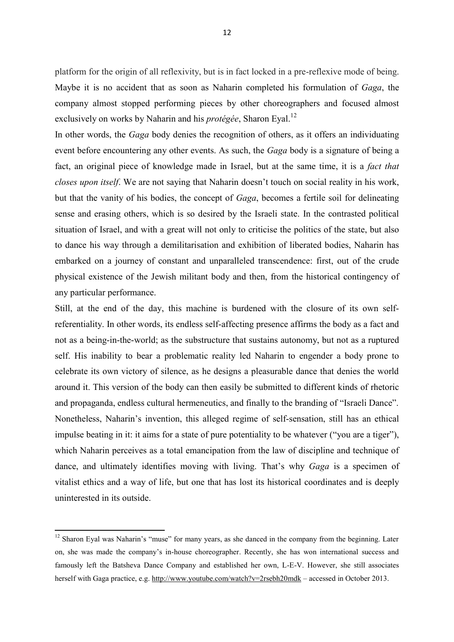platform for the origin of all reflexivity, but is in fact locked in a pre-reflexive mode of being. Maybe it is no accident that as soon as Naharin completed his formulation of *Gaga*, the company almost stopped performing pieces by other choreographers and focused almost exclusively on works by Naharin and his *protégée*, Sharon Eyal. 12

In other words, the *Gaga* body denies the recognition of others, as it offers an individuating event before encountering any other events. As such, the *Gaga* body is a signature of being a fact, an original piece of knowledge made in Israel, but at the same time, it is a *fact that closes upon itself*. We are not saying that Naharin doesn"t touch on social reality in his work, but that the vanity of his bodies, the concept of *Gaga*, becomes a fertile soil for delineating sense and erasing others, which is so desired by the Israeli state. In the contrasted political situation of Israel, and with a great will not only to criticise the politics of the state, but also to dance his way through a demilitarisation and exhibition of liberated bodies, Naharin has embarked on a journey of constant and unparalleled transcendence: first, out of the crude physical existence of the Jewish militant body and then, from the historical contingency of any particular performance.

Still, at the end of the day, this machine is burdened with the closure of its own selfreferentiality. In other words, its endless self-affecting presence affirms the body as a fact and not as a being-in-the-world; as the substructure that sustains autonomy, but not as a ruptured self. His inability to bear a problematic reality led Naharin to engender a body prone to celebrate its own victory of silence, as he designs a pleasurable dance that denies the world around it. This version of the body can then easily be submitted to different kinds of rhetoric and propaganda, endless cultural hermeneutics, and finally to the branding of "Israeli Dance". Nonetheless, Naharin"s invention, this alleged regime of self-sensation, still has an ethical impulse beating in it: it aims for a state of pure potentiality to be whatever ("you are a tiger"), which Naharin perceives as a total emancipation from the law of discipline and technique of dance, and ultimately identifies moving with living. That's why *Gaga* is a specimen of vitalist ethics and a way of life, but one that has lost its historical coordinates and is deeply uninterested in its outside.

1

<sup>&</sup>lt;sup>12</sup> Sharon Eyal was Naharin's "muse" for many years, as she danced in the company from the beginning. Later on, she was made the company"s in-house choreographer. Recently, she has won international success and famously left the Batsheva Dance Company and established her own, L-E-V. However, she still associates herself with Gaga practice, e.g.<http://www.youtube.com/watch?v=2rsebh20mdk> – accessed in October 2013.